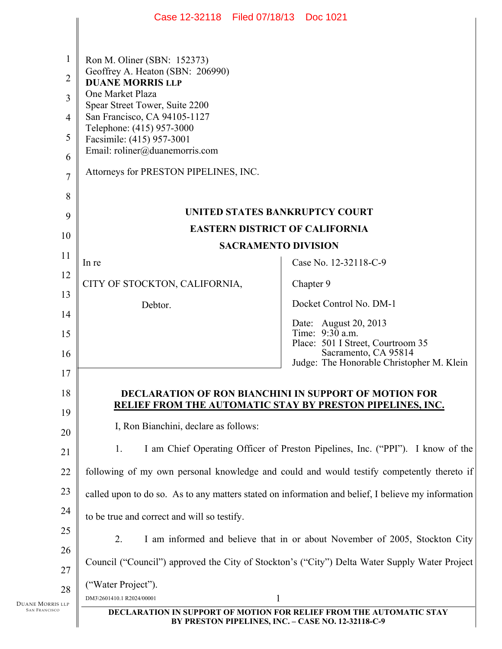|                        | Case 12-32118 Filed 07/18/13 Doc 1021                                                                                            |                                                                                |
|------------------------|----------------------------------------------------------------------------------------------------------------------------------|--------------------------------------------------------------------------------|
|                        |                                                                                                                                  |                                                                                |
| $\mathbf{1}$           | Ron M. Oliner (SBN: 152373)                                                                                                      |                                                                                |
| $\overline{2}$         | Geoffrey A. Heaton (SBN: 206990)<br><b>DUANE MORRIS LLP</b>                                                                      |                                                                                |
| 3                      | One Market Plaza                                                                                                                 |                                                                                |
| $\overline{4}$         | Spear Street Tower, Suite 2200<br>San Francisco, CA 94105-1127                                                                   |                                                                                |
| 5                      | Telephone: (415) 957-3000<br>Facsimile: (415) 957-3001                                                                           |                                                                                |
| 6                      | Email: roliner@duanemorris.com                                                                                                   |                                                                                |
| $\overline{7}$         | Attorneys for PRESTON PIPELINES, INC.                                                                                            |                                                                                |
| 8                      |                                                                                                                                  |                                                                                |
| 9                      | UNITED STATES BANKRUPTCY COURT                                                                                                   |                                                                                |
| 10                     | <b>EASTERN DISTRICT OF CALIFORNIA</b>                                                                                            |                                                                                |
| 11                     | <b>SACRAMENTO DIVISION</b>                                                                                                       |                                                                                |
| 12                     | In re                                                                                                                            | Case No. 12-32118-C-9                                                          |
| 13                     | CITY OF STOCKTON, CALIFORNIA,                                                                                                    | Chapter 9                                                                      |
| 14                     | Debtor.                                                                                                                          | Docket Control No. DM-1                                                        |
| 15                     |                                                                                                                                  | Date: August 20, 2013<br>Time: 9:30 a.m.                                       |
| 16                     |                                                                                                                                  | Place: 501 I Street, Courtroom 35<br>Sacramento, CA 95814                      |
| 17                     |                                                                                                                                  | Judge: The Honorable Christopher M. Klein                                      |
| 18                     |                                                                                                                                  |                                                                                |
| 19                     | DECLARATION OF RON BIANCHINI IN SUPPORT OF MOTION FOR<br>RELIEF FROM THE AUTOMATIC STAY BY PRESTON PIPELINES, INC.               |                                                                                |
| 20                     | I, Ron Bianchini, declare as follows:                                                                                            |                                                                                |
| 21                     | 1.                                                                                                                               | I am Chief Operating Officer of Preston Pipelines, Inc. ("PPI"). I know of the |
| 22                     | following of my own personal knowledge and could and would testify competently thereto if                                        |                                                                                |
| 23                     | called upon to do so. As to any matters stated on information and belief, I believe my information                               |                                                                                |
| 24                     | to be true and correct and will so testify.                                                                                      |                                                                                |
| 25                     | 2.<br>I am informed and believe that in or about November of 2005, Stockton City                                                 |                                                                                |
| 26<br>27               | Council ("Council") approved the City of Stockton's ("City") Delta Water Supply Water Project                                    |                                                                                |
|                        | ("Water Project").                                                                                                               |                                                                                |
| 28<br>Duane Morris llp | 1<br>DM3\2601410.1 R2024/00001                                                                                                   |                                                                                |
| <b>SAN FRANCISCO</b>   | <b>DECLARATION IN SUPPORT OF MOTION FOR RELIEF FROM THE AUTOMATIC STAY</b><br>BY PRESTON PIPELINES, INC. - CASE NO. 12-32118-C-9 |                                                                                |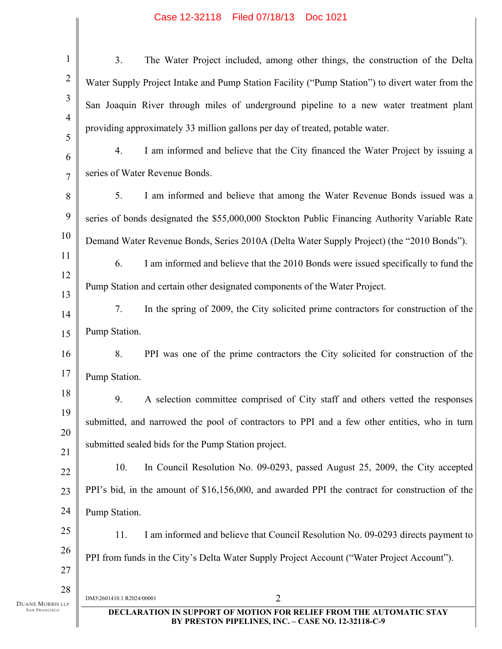## Case 12-32118 Filed 07/18/13 Doc 1021

| $\mathbf{1}$           | The Water Project included, among other things, the construction of the Delta<br>3 <sub>1</sub>                                  |  |
|------------------------|----------------------------------------------------------------------------------------------------------------------------------|--|
| $\overline{2}$         | Water Supply Project Intake and Pump Station Facility ("Pump Station") to divert water from the                                  |  |
| 3                      | San Joaquin River through miles of underground pipeline to a new water treatment plant                                           |  |
| 4                      | providing approximately 33 million gallons per day of treated, potable water.                                                    |  |
| 5                      | I am informed and believe that the City financed the Water Project by issuing a<br>4.                                            |  |
| 6<br>$\overline{7}$    | series of Water Revenue Bonds.                                                                                                   |  |
| 8                      | 5.<br>I am informed and believe that among the Water Revenue Bonds issued was a                                                  |  |
| 9                      | series of bonds designated the \$55,000,000 Stockton Public Financing Authority Variable Rate                                    |  |
| 10                     | Demand Water Revenue Bonds, Series 2010A (Delta Water Supply Project) (the "2010 Bonds").                                        |  |
| 11                     | 6.<br>I am informed and believe that the 2010 Bonds were issued specifically to fund the                                         |  |
| 12                     | Pump Station and certain other designated components of the Water Project.                                                       |  |
| 13                     | In the spring of 2009, the City solicited prime contractors for construction of the<br>7.                                        |  |
| 14                     |                                                                                                                                  |  |
| 15                     | Pump Station.                                                                                                                    |  |
| 16                     | 8.<br>PPI was one of the prime contractors the City solicited for construction of the                                            |  |
| 17                     | Pump Station.                                                                                                                    |  |
| 18<br>19               | 9.<br>A selection committee comprised of City staff and others vetted the responses                                              |  |
| 20                     | submitted, and narrowed the pool of contractors to PPI and a few other entities, who in turn                                     |  |
| 21                     | submitted sealed bids for the Pump Station project.                                                                              |  |
| 22                     | 10.<br>In Council Resolution No. 09-0293, passed August 25, 2009, the City accepted                                              |  |
| 23                     | PPI's bid, in the amount of \$16,156,000, and awarded PPI the contract for construction of the                                   |  |
| 24                     | Pump Station.                                                                                                                    |  |
| $25\,$                 | 11.<br>I am informed and believe that Council Resolution No. 09-0293 directs payment to                                          |  |
| 26                     | PPI from funds in the City's Delta Water Supply Project Account ("Water Project Account").                                       |  |
| 27                     |                                                                                                                                  |  |
| 28<br>Duane Morris llp | 2<br>DM3\2601410.1 R2024/00001                                                                                                   |  |
| <b>SAN FRANCISCO</b>   | <b>DECLARATION IN SUPPORT OF MOTION FOR RELIEF FROM THE AUTOMATIC STAY</b><br>BY PRESTON PIPELINES, INC. - CASE NO. 12-32118-C-9 |  |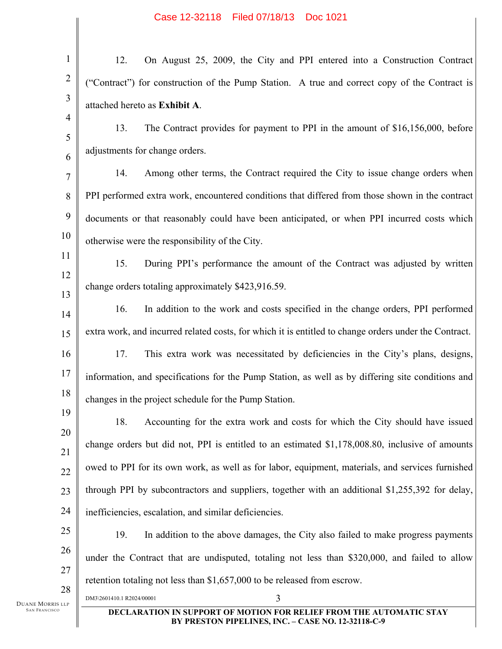| $\mathbf{1}$            | 12.<br>On August 25, 2009, the City and PPI entered into a Construction Contract                                                 |  |
|-------------------------|----------------------------------------------------------------------------------------------------------------------------------|--|
| $\overline{c}$          | ("Contract") for construction of the Pump Station. A true and correct copy of the Contract is                                    |  |
| $\overline{\mathbf{3}}$ | attached hereto as Exhibit A.                                                                                                    |  |
| 4                       | 13.<br>The Contract provides for payment to PPI in the amount of \$16,156,000, before                                            |  |
| 5                       | adjustments for change orders.                                                                                                   |  |
| 6<br>$\overline{7}$     | Among other terms, the Contract required the City to issue change orders when<br>14.                                             |  |
| 8                       | PPI performed extra work, encountered conditions that differed from those shown in the contract                                  |  |
| 9                       | documents or that reasonably could have been anticipated, or when PPI incurred costs which                                       |  |
| 10                      | otherwise were the responsibility of the City.                                                                                   |  |
| 11                      | 15.<br>During PPI's performance the amount of the Contract was adjusted by written                                               |  |
| 12                      |                                                                                                                                  |  |
| 13                      | change orders totaling approximately \$423,916.59.                                                                               |  |
| 14                      | 16.<br>In addition to the work and costs specified in the change orders, PPI performed                                           |  |
| 15                      | extra work, and incurred related costs, for which it is entitled to change orders under the Contract.                            |  |
| 16                      | 17.<br>This extra work was necessitated by deficiencies in the City's plans, designs,                                            |  |
| 17                      | information, and specifications for the Pump Station, as well as by differing site conditions and                                |  |
| 18                      | changes in the project schedule for the Pump Station.                                                                            |  |
| 19<br>20                | 18.<br>Accounting for the extra work and costs for which the City should have issued                                             |  |
| 21                      | change orders but did not, PPI is entitled to an estimated \$1,178,008.80, inclusive of amounts                                  |  |
| 22                      | owed to PPI for its own work, as well as for labor, equipment, materials, and services furnished                                 |  |
| 23                      | through PPI by subcontractors and suppliers, together with an additional \$1,255,392 for delay,                                  |  |
| 24                      | inefficiencies, escalation, and similar deficiencies.                                                                            |  |
| 25                      | 19.<br>In addition to the above damages, the City also failed to make progress payments                                          |  |
| 26                      | under the Contract that are undisputed, totaling not less than \$320,000, and failed to allow                                    |  |
| 27                      | retention totaling not less than \$1,657,000 to be released from escrow.                                                         |  |
| 28<br>Duane Morris llp  | DM3\2601410.1 R2024/00001<br>3                                                                                                   |  |
| <b>SAN FRANCISCO</b>    | <b>DECLARATION IN SUPPORT OF MOTION FOR RELIEF FROM THE AUTOMATIC STAY</b><br>BY PRESTON PIPELINES, INC. - CASE NO. 12-32118-C-9 |  |